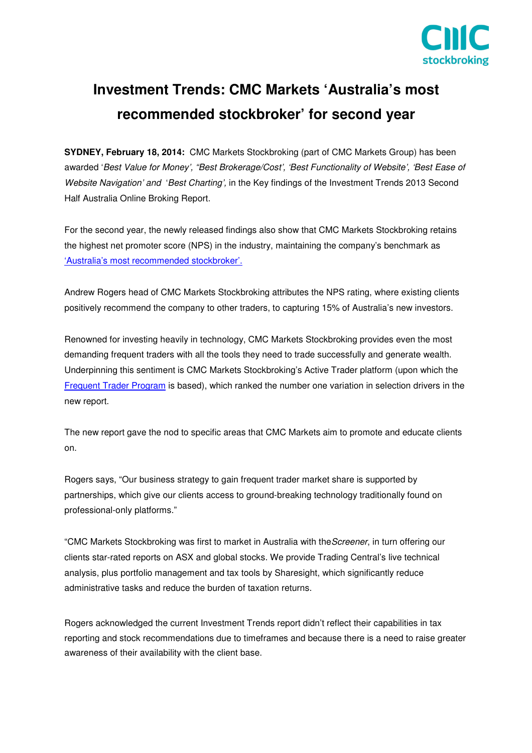

## **Investment Trends: CMC Markets 'Australia's most recommended stockbroker' for second year**

**SYDNEY, February 18, 2014:** CMC Markets Stockbroking (part of CMC Markets Group) has been awarded 'Best Value for Money', "Best Brokerage/Cost', 'Best Functionality of Website', 'Best Ease of Website Navigation' and 'Best Charting', in the Key findings of the Investment Trends 2013 Second Half Australia Online Broking Report.

For the second year, the newly released findings also show that CMC Markets Stockbroking retains the highest net promoter score (NPS) in the industry, maintaining the company's benchmark as 'Australia's most recommended stockbroker'.

Andrew Rogers head of CMC Markets Stockbroking attributes the NPS rating, where existing clients positively recommend the company to other traders, to capturing 15% of Australia's new investors.

Renowned for investing heavily in technology, CMC Markets Stockbroking provides even the most demanding frequent traders with all the tools they need to trade successfully and generate wealth. Underpinning this sentiment is CMC Markets Stockbroking's Active Trader platform (upon which the Frequent Trader Program is based), which ranked the number one variation in selection drivers in the new report.

The new report gave the nod to specific areas that CMC Markets aim to promote and educate clients on.

Rogers says, "Our business strategy to gain frequent trader market share is supported by partnerships, which give our clients access to ground-breaking technology traditionally found on professional-only platforms."

"CMC Markets Stockbroking was first to market in Australia with the Screener, in turn offering our clients star-rated reports on ASX and global stocks. We provide Trading Central's live technical analysis, plus portfolio management and tax tools by Sharesight, which significantly reduce administrative tasks and reduce the burden of taxation returns.

Rogers acknowledged the current Investment Trends report didn't reflect their capabilities in tax reporting and stock recommendations due to timeframes and because there is a need to raise greater awareness of their availability with the client base.